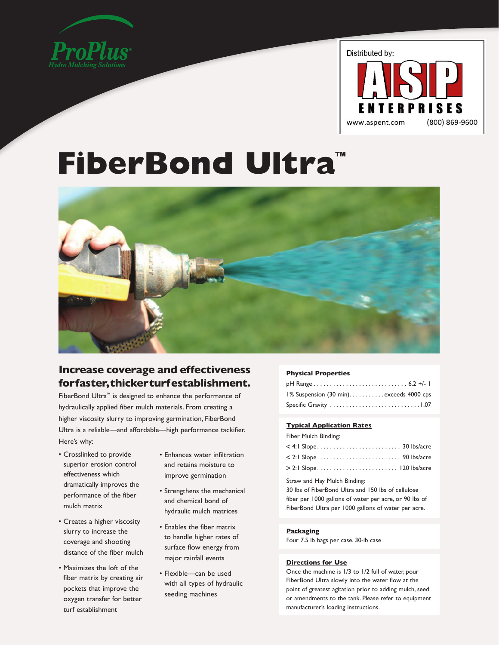



# **FiberBond Ultra™**



# **Increase coverage and effectiveness for faster, thicker turf establishment.**

FiberBond Ultra™ is designed to enhance the performance of hydraulically applied fiber mulch materials. From creating a higher viscosity slurry to improving germination, FiberBond Ultra is a reliable—and affordable—high performance tackifier. Here's why:

- Crosslinked to provide superior erosion control effectiveness which dramatically improves the performance of the fiber mulch matrix
- Creates a higher viscosity slurry to increase the coverage and shooting distance of the fiber mulch
- Maximizes the loft of the fiber matrix by creating air pockets that improve the oxygen transfer for better turf establishment
- Enhances water infiltration and retains moisture to improve germination
- Strengthens the mechanical and chemical bond of hydraulic mulch matrices
- Enables the fiber matrix to handle higher rates of surface flow energy from major rainfall events
- Flexible—can be used with all types of hydraulic seeding machines

# **Physical Properties**

| 1% Suspension (30 min). exceeds 4000 cps |  |
|------------------------------------------|--|
|                                          |  |

# **Typical Application Rates**

Fiber Mulch Binding:

| $<$ 2:1 Slope $\ldots \ldots \ldots \ldots \ldots \ldots \ldots$ 90 Ibs/acre |  |  |  |  |  |  |  |  |  |  |
|------------------------------------------------------------------------------|--|--|--|--|--|--|--|--|--|--|
|                                                                              |  |  |  |  |  |  |  |  |  |  |

Straw and Hay Mulch Binding:

30 lbs of FiberBond Ultra and 150 lbs of cellulose fiber per 1000 gallons of water per acre, or 90 lbs of FiberBond Ultra per 1000 gallons of water per acre.

# **Packaging**

Four 7.5 lb bags per case, 30-lb case

# **Directions for Use**

Once the machine is 1/3 to 1/2 full of water, pour FiberBond Ultra slowly into the water flow at the point of greatest agitation prior to adding mulch, seed or amendments to the tank. Please refer to equipment manufacturer's loading instructions.